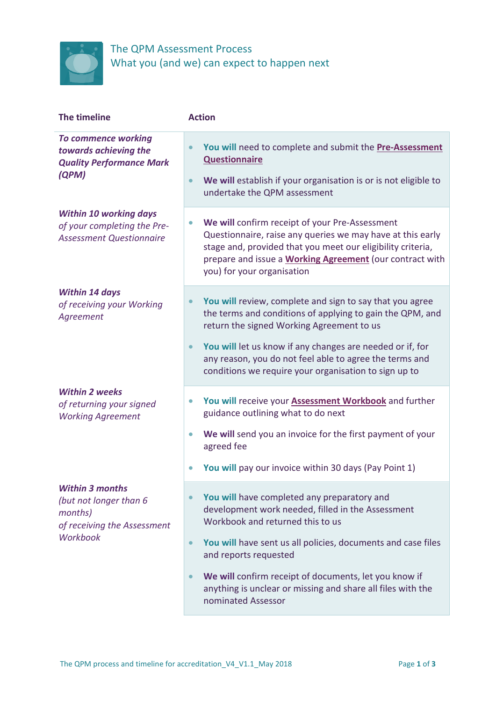

## The QPM Assessment Process What you (and we) can expect to happen next

| The timeline                                                                                                  | <b>Action</b>                                                                                                                                                                                                                                                                                                                                                                                         |
|---------------------------------------------------------------------------------------------------------------|-------------------------------------------------------------------------------------------------------------------------------------------------------------------------------------------------------------------------------------------------------------------------------------------------------------------------------------------------------------------------------------------------------|
| To commence working<br>towards achieving the<br><b>Quality Performance Mark</b><br>(QPM)                      | You will need to complete and submit the Pre-Assessment<br>$\bullet$<br><b>Questionnaire</b><br>We will establish if your organisation is or is not eligible to<br>$\bullet$<br>undertake the QPM assessment                                                                                                                                                                                          |
| <b>Within 10 working days</b><br>of your completing the Pre-<br><b>Assessment Questionnaire</b>               | We will confirm receipt of your Pre-Assessment<br>$\bullet$<br>Questionnaire, raise any queries we may have at this early<br>stage and, provided that you meet our eligibility criteria,<br>prepare and issue a <b>Working Agreement</b> (our contract with<br>you) for your organisation                                                                                                             |
| <b>Within 14 days</b><br>of receiving your Working<br>Agreement                                               | You will review, complete and sign to say that you agree<br>$\bullet$<br>the terms and conditions of applying to gain the QPM, and<br>return the signed Working Agreement to us<br>You will let us know if any changes are needed or if, for<br>$\bullet$<br>any reason, you do not feel able to agree the terms and<br>conditions we require your organisation to sign up to                         |
| <b>Within 2 weeks</b><br>of returning your signed<br><b>Working Agreement</b>                                 | You will receive your <b>Assessment Workbook</b> and further<br>$\bullet$<br>guidance outlining what to do next<br>We will send you an invoice for the first payment of your<br>$\bullet$<br>agreed fee<br>You will pay our invoice within 30 days (Pay Point 1)                                                                                                                                      |
| <b>Within 3 months</b><br>(but not longer than 6<br>months)<br>of receiving the Assessment<br><b>Workbook</b> | You will have completed any preparatory and<br>development work needed, filled in the Assessment<br>Workbook and returned this to us<br>You will have sent us all policies, documents and case files<br>$\bullet$<br>and reports requested<br>We will confirm receipt of documents, let you know if<br>$\bullet$<br>anything is unclear or missing and share all files with the<br>nominated Assessor |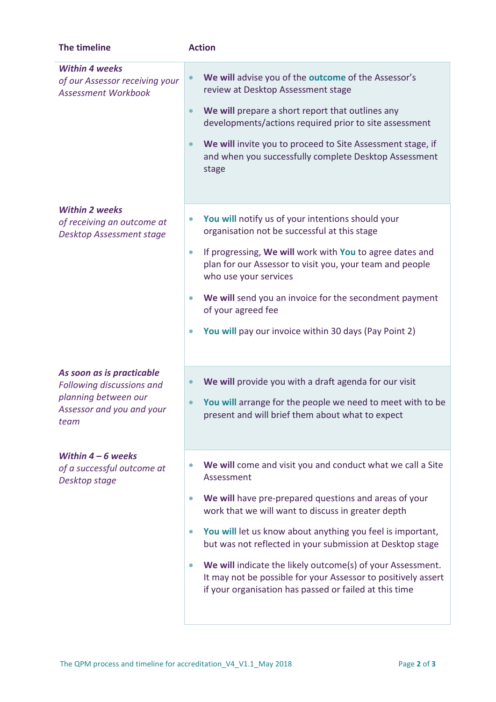| The timeline                                                                                                        | <b>Action</b>                                                                                                                                                                                                                                                                                                                                                                                                                                                                                                                                      |
|---------------------------------------------------------------------------------------------------------------------|----------------------------------------------------------------------------------------------------------------------------------------------------------------------------------------------------------------------------------------------------------------------------------------------------------------------------------------------------------------------------------------------------------------------------------------------------------------------------------------------------------------------------------------------------|
| <b>Within 4 weeks</b><br>of our Assessor receiving your<br><b>Assessment Workbook</b>                               | We will advise you of the outcome of the Assessor's<br>review at Desktop Assessment stage<br>We will prepare a short report that outlines any<br>$\bullet$<br>developments/actions required prior to site assessment<br>We will invite you to proceed to Site Assessment stage, if<br>$\bullet$<br>and when you successfully complete Desktop Assessment<br>stage                                                                                                                                                                                  |
| <b>Within 2 weeks</b><br>of receiving an outcome at<br><b>Desktop Assessment stage</b>                              | You will notify us of your intentions should your<br>$\bullet$<br>organisation not be successful at this stage<br>If progressing, We will work with You to agree dates and<br>$\bullet$<br>plan for our Assessor to visit you, your team and people<br>who use your services<br>We will send you an invoice for the secondment payment<br>$\bullet$<br>of your agreed fee<br>You will pay our invoice within 30 days (Pay Point 2)<br>$\bullet$                                                                                                    |
| As soon as is practicable<br>Following discussions and<br>planning between our<br>Assessor and you and your<br>team | We will provide you with a draft agenda for our visit<br>$\bullet$<br>You will arrange for the people we need to meet with to be<br>present and will brief them about what to expect                                                                                                                                                                                                                                                                                                                                                               |
| Within $4-6$ weeks<br>of a successful outcome at<br>Desktop stage                                                   | We will come and visit you and conduct what we call a Site<br>Assessment<br>We will have pre-prepared questions and areas of your<br>$\bullet$<br>work that we will want to discuss in greater depth<br>You will let us know about anything you feel is important,<br>$\bullet$<br>but was not reflected in your submission at Desktop stage<br>We will indicate the likely outcome(s) of your Assessment.<br>$\bullet$<br>It may not be possible for your Assessor to positively assert<br>if your organisation has passed or failed at this time |